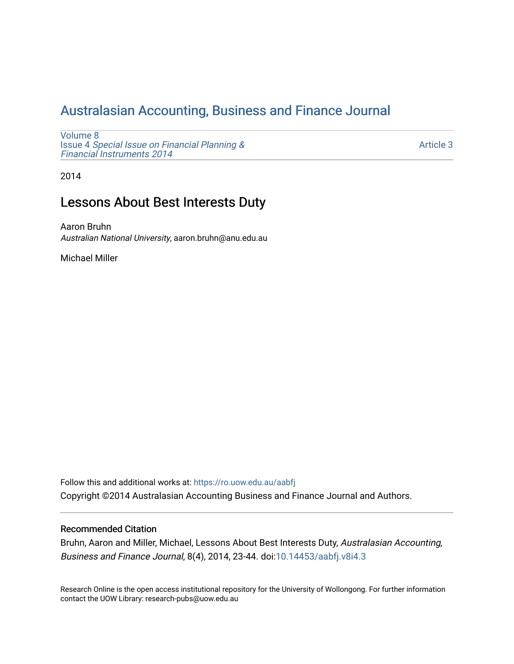# [Australasian Accounting, Business and Finance Journal](https://ro.uow.edu.au/aabfj)

[Volume 8](https://ro.uow.edu.au/aabfj/vol8) Issue 4 [Special Issue on Financial Planning &](https://ro.uow.edu.au/aabfj/vol8/iss4) [Financial Instruments 2014](https://ro.uow.edu.au/aabfj/vol8/iss4) 

[Article 3](https://ro.uow.edu.au/aabfj/vol8/iss4/3) 

2014

## Lessons About Best Interests Duty

Aaron Bruhn Australian National University, aaron.bruhn@anu.edu.au

Michael Miller

Follow this and additional works at: [https://ro.uow.edu.au/aabfj](https://ro.uow.edu.au/aabfj?utm_source=ro.uow.edu.au%2Faabfj%2Fvol8%2Fiss4%2F3&utm_medium=PDF&utm_campaign=PDFCoverPages) Copyright ©2014 Australasian Accounting Business and Finance Journal and Authors.

#### Recommended Citation

Bruhn, Aaron and Miller, Michael, Lessons About Best Interests Duty, Australasian Accounting, Business and Finance Journal, 8(4), 2014, 23-44. doi:[10.14453/aabfj.v8i4.3](http://dx.doi.org/10.14453/aabfj.v8i4.3)

Research Online is the open access institutional repository for the University of Wollongong. For further information contact the UOW Library: research-pubs@uow.edu.au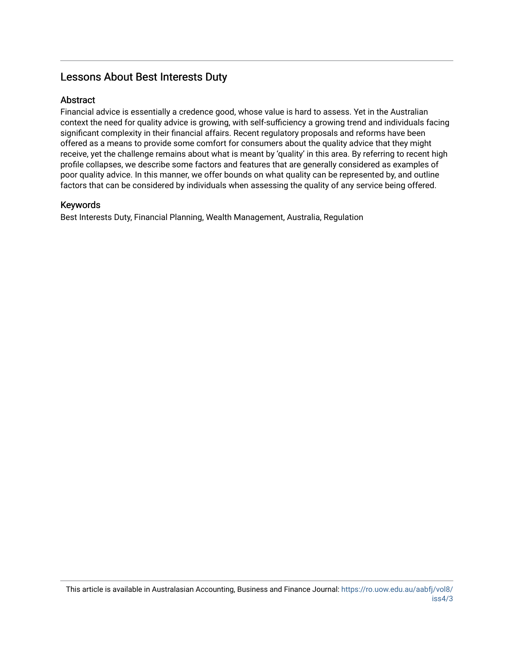## Lessons About Best Interests Duty

#### Abstract

Financial advice is essentially a credence good, whose value is hard to assess. Yet in the Australian context the need for quality advice is growing, with self-sufficiency a growing trend and individuals facing significant complexity in their financial affairs. Recent regulatory proposals and reforms have been offered as a means to provide some comfort for consumers about the quality advice that they might receive, yet the challenge remains about what is meant by 'quality' in this area. By referring to recent high profile collapses, we describe some factors and features that are generally considered as examples of poor quality advice. In this manner, we offer bounds on what quality can be represented by, and outline factors that can be considered by individuals when assessing the quality of any service being offered.

#### Keywords

Best Interests Duty, Financial Planning, Wealth Management, Australia, Regulation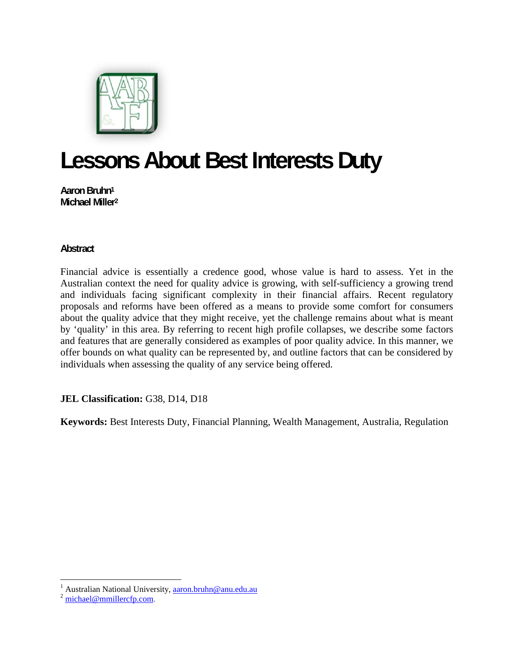

# **Lessons About Best Interests Duty**

**Aaron Bruhn1 Michael Miller2**

## **Abstract**

Financial advice is essentially a credence good, whose value is hard to assess. Yet in the Australian context the need for quality advice is growing, with self-sufficiency a growing trend and individuals facing significant complexity in their financial affairs. Recent regulatory proposals and reforms have been offered as a means to provide some comfort for consumers about the quality advice that they might receive, yet the challenge remains about what is meant by 'quality' in this area. By referring to recent high profile collapses, we describe some factors and features that are generally considered as examples of poor quality advice. In this manner, we offer bounds on what quality can be represented by, and outline factors that can be considered by individuals when assessing the quality of any service being offered.

## **JEL Classification:** G38, D14, D18

**Keywords:** Best Interests Duty, Financial Planning, Wealth Management, Australia, Regulation

<sup>&</sup>lt;sup>1</sup> Australian National University, <u>aaron.bruhn@anu.edu.au</u><br><sup>2</sup> <u>michael@mmillercfp.com</u>.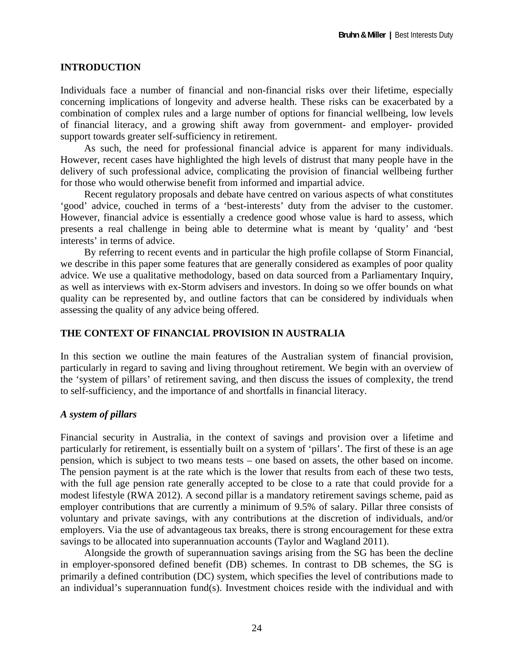## **INTRODUCTION**

Individuals face a number of financial and non-financial risks over their lifetime, especially concerning implications of longevity and adverse health. These risks can be exacerbated by a combination of complex rules and a large number of options for financial wellbeing, low levels of financial literacy, and a growing shift away from government- and employer- provided support towards greater self-sufficiency in retirement.

As such, the need for professional financial advice is apparent for many individuals. However, recent cases have highlighted the high levels of distrust that many people have in the delivery of such professional advice, complicating the provision of financial wellbeing further for those who would otherwise benefit from informed and impartial advice.

Recent regulatory proposals and debate have centred on various aspects of what constitutes 'good' advice, couched in terms of a 'best-interests' duty from the adviser to the customer. However, financial advice is essentially a credence good whose value is hard to assess, which presents a real challenge in being able to determine what is meant by 'quality' and 'best interests' in terms of advice.

By referring to recent events and in particular the high profile collapse of Storm Financial, we describe in this paper some features that are generally considered as examples of poor quality advice. We use a qualitative methodology, based on data sourced from a Parliamentary Inquiry, as well as interviews with ex-Storm advisers and investors. In doing so we offer bounds on what quality can be represented by, and outline factors that can be considered by individuals when assessing the quality of any advice being offered.

## **THE CONTEXT OF FINANCIAL PROVISION IN AUSTRALIA**

In this section we outline the main features of the Australian system of financial provision, particularly in regard to saving and living throughout retirement. We begin with an overview of the 'system of pillars' of retirement saving, and then discuss the issues of complexity, the trend to self-sufficiency, and the importance of and shortfalls in financial literacy.

#### *A system of pillars*

Financial security in Australia, in the context of savings and provision over a lifetime and particularly for retirement, is essentially built on a system of 'pillars'. The first of these is an age pension, which is subject to two means tests – one based on assets, the other based on income. The pension payment is at the rate which is the lower that results from each of these two tests, with the full age pension rate generally accepted to be close to a rate that could provide for a modest lifestyle (RWA 2012). A second pillar is a mandatory retirement savings scheme, paid as employer contributions that are currently a minimum of 9.5% of salary. Pillar three consists of voluntary and private savings, with any contributions at the discretion of individuals, and/or employers. Via the use of advantageous tax breaks, there is strong encouragement for these extra savings to be allocated into superannuation accounts (Taylor and Wagland 2011).

Alongside the growth of superannuation savings arising from the SG has been the decline in employer-sponsored defined benefit (DB) schemes. In contrast to DB schemes, the SG is primarily a defined contribution (DC) system, which specifies the level of contributions made to an individual's superannuation fund(s). Investment choices reside with the individual and with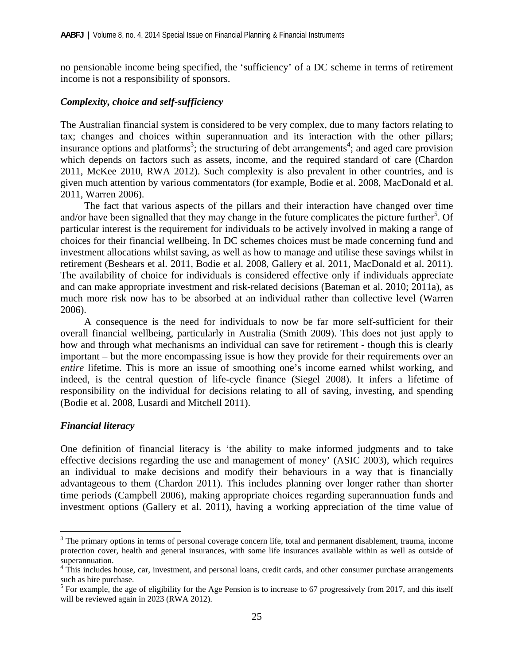no pensionable income being specified, the 'sufficiency' of a DC scheme in terms of retirement income is not a responsibility of sponsors.

#### *Complexity, choice and self-sufficiency*

The Australian financial system is considered to be very complex, due to many factors relating to tax; changes and choices within superannuation and its interaction with the other pillars; insurance options and platforms<sup>3</sup>; the structuring of debt arrangements<sup>4</sup>; and aged care provision which depends on factors such as assets, income, and the required standard of care (Chardon 2011, McKee 2010, RWA 2012). Such complexity is also prevalent in other countries, and is given much attention by various commentators (for example, Bodie et al. 2008, MacDonald et al. 2011, Warren 2006).

The fact that various aspects of the pillars and their interaction have changed over time and/or have been signalled that they may change in the future complicates the picture further<sup>5</sup>. Of particular interest is the requirement for individuals to be actively involved in making a range of choices for their financial wellbeing. In DC schemes choices must be made concerning fund and investment allocations whilst saving, as well as how to manage and utilise these savings whilst in retirement (Beshears et al. 2011, Bodie et al. 2008, Gallery et al. 2011, MacDonald et al. 2011). The availability of choice for individuals is considered effective only if individuals appreciate and can make appropriate investment and risk-related decisions (Bateman et al. 2010; 2011a), as much more risk now has to be absorbed at an individual rather than collective level (Warren 2006).

A consequence is the need for individuals to now be far more self-sufficient for their overall financial wellbeing, particularly in Australia (Smith 2009). This does not just apply to how and through what mechanisms an individual can save for retirement **-** though this is clearly important – but the more encompassing issue is how they provide for their requirements over an *entire* lifetime. This is more an issue of smoothing one's income earned whilst working, and indeed, is the central question of life-cycle finance (Siegel 2008). It infers a lifetime of responsibility on the individual for decisions relating to all of saving, investing, and spending (Bodie et al. 2008, Lusardi and Mitchell 2011).

#### *Financial literacy*

 $\overline{a}$ 

One definition of financial literacy is 'the ability to make informed judgments and to take effective decisions regarding the use and management of money' (ASIC 2003), which requires an individual to make decisions and modify their behaviours in a way that is financially advantageous to them (Chardon 2011). This includes planning over longer rather than shorter time periods (Campbell 2006), making appropriate choices regarding superannuation funds and investment options (Gallery et al. 2011), having a working appreciation of the time value of

 $3$  The primary options in terms of personal coverage concern life, total and permanent disablement, trauma, income protection cover, health and general insurances, with some life insurances available within as well as outside of superannuation.

<sup>&</sup>lt;sup>4</sup> This includes house, car, investment, and personal loans, credit cards, and other consumer purchase arrangements such as hire purchase.

 $<sup>5</sup>$  For example, the age of eligibility for the Age Pension is to increase to 67 progressively from 2017, and this itself</sup> will be reviewed again in 2023 (RWA 2012).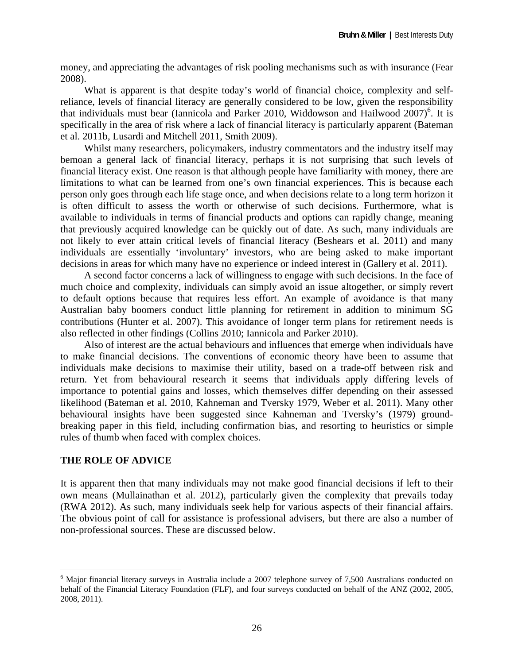money, and appreciating the advantages of risk pooling mechanisms such as with insurance (Fear 2008).

What is apparent is that despite today's world of financial choice, complexity and selfreliance, levels of financial literacy are generally considered to be low, given the responsibility that individuals must bear (Iannicola and Parker 2010, Widdowson and Hailwood  $2007$ <sup>6</sup>. It is specifically in the area of risk where a lack of financial literacy is particularly apparent (Bateman et al. 2011b, Lusardi and Mitchell 2011, Smith 2009).

Whilst many researchers, policymakers, industry commentators and the industry itself may bemoan a general lack of financial literacy, perhaps it is not surprising that such levels of financial literacy exist. One reason is that although people have familiarity with money, there are limitations to what can be learned from one's own financial experiences. This is because each person only goes through each life stage once, and when decisions relate to a long term horizon it is often difficult to assess the worth or otherwise of such decisions. Furthermore, what is available to individuals in terms of financial products and options can rapidly change, meaning that previously acquired knowledge can be quickly out of date. As such, many individuals are not likely to ever attain critical levels of financial literacy (Beshears et al. 2011) and many individuals are essentially 'involuntary' investors, who are being asked to make important decisions in areas for which many have no experience or indeed interest in (Gallery et al. 2011).

A second factor concerns a lack of willingness to engage with such decisions. In the face of much choice and complexity, individuals can simply avoid an issue altogether, or simply revert to default options because that requires less effort. An example of avoidance is that many Australian baby boomers conduct little planning for retirement in addition to minimum SG contributions (Hunter et al. 2007). This avoidance of longer term plans for retirement needs is also reflected in other findings (Collins 2010; Iannicola and Parker 2010).

Also of interest are the actual behaviours and influences that emerge when individuals have to make financial decisions. The conventions of economic theory have been to assume that individuals make decisions to maximise their utility, based on a trade-off between risk and return. Yet from behavioural research it seems that individuals apply differing levels of importance to potential gains and losses, which themselves differ depending on their assessed likelihood (Bateman et al. 2010, Kahneman and Tversky 1979, Weber et al. 2011). Many other behavioural insights have been suggested since Kahneman and Tversky's (1979) groundbreaking paper in this field, including confirmation bias, and resorting to heuristics or simple rules of thumb when faced with complex choices.

#### **THE ROLE OF ADVICE**

1

It is apparent then that many individuals may not make good financial decisions if left to their own means (Mullainathan et al. 2012), particularly given the complexity that prevails today (RWA 2012). As such, many individuals seek help for various aspects of their financial affairs. The obvious point of call for assistance is professional advisers, but there are also a number of non-professional sources. These are discussed below.

<sup>&</sup>lt;sup>6</sup> Major financial literacy surveys in Australia include a 2007 telephone survey of 7,500 Australians conducted on behalf of the Financial Literacy Foundation (FLF), and four surveys conducted on behalf of the ANZ (2002, 2005, 2008, 2011).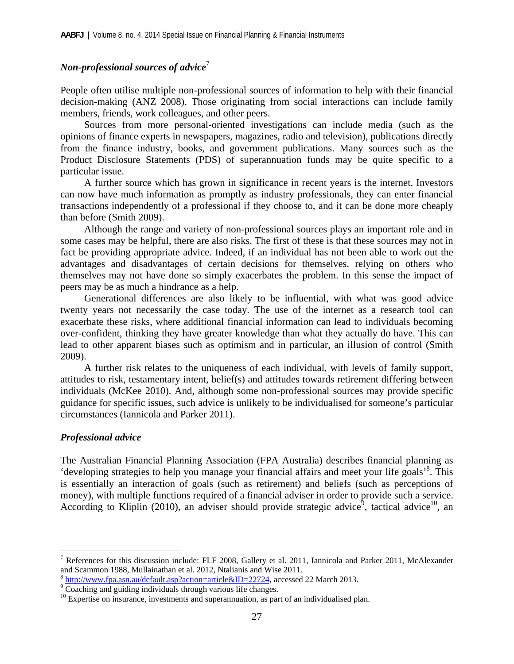#### *Non-professional sources of advice*<sup>7</sup>

People often utilise multiple non-professional sources of information to help with their financial decision-making (ANZ 2008). Those originating from social interactions can include family members, friends, work colleagues, and other peers.

Sources from more personal-oriented investigations can include media (such as the opinions of finance experts in newspapers, magazines, radio and television), publications directly from the finance industry, books, and government publications. Many sources such as the Product Disclosure Statements (PDS) of superannuation funds may be quite specific to a particular issue.

A further source which has grown in significance in recent years is the internet. Investors can now have much information as promptly as industry professionals, they can enter financial transactions independently of a professional if they choose to, and it can be done more cheaply than before (Smith 2009).

Although the range and variety of non-professional sources plays an important role and in some cases may be helpful, there are also risks. The first of these is that these sources may not in fact be providing appropriate advice. Indeed, if an individual has not been able to work out the advantages and disadvantages of certain decisions for themselves, relying on others who themselves may not have done so simply exacerbates the problem. In this sense the impact of peers may be as much a hindrance as a help.

Generational differences are also likely to be influential, with what was good advice twenty years not necessarily the case today. The use of the internet as a research tool can exacerbate these risks, where additional financial information can lead to individuals becoming over-confident, thinking they have greater knowledge than what they actually do have. This can lead to other apparent biases such as optimism and in particular, an illusion of control (Smith 2009).

A further risk relates to the uniqueness of each individual, with levels of family support, attitudes to risk, testamentary intent, belief(s) and attitudes towards retirement differing between individuals (McKee 2010). And, although some non-professional sources may provide specific guidance for specific issues, such advice is unlikely to be individualised for someone's particular circumstances (Iannicola and Parker 2011).

#### *Professional advice*

 $\overline{a}$ 

The Australian Financial Planning Association (FPA Australia) describes financial planning as 'developing strategies to help you manage your financial affairs and meet your life goals'<sup>8</sup>. This is essentially an interaction of goals (such as retirement) and beliefs (such as perceptions of money), with multiple functions required of a financial adviser in order to provide such a service. According to Kliplin (2010), an adviser should provide strategic advice<sup>9</sup>, tactical advice<sup>10</sup>, an

<sup>&</sup>lt;sup>7</sup> References for this discussion include: FLF 2008, Gallery et al. 2011, Iannicola and Parker 2011, McAlexander and Scammon 1988, Mullainathan et al. 2012, Ntalianis and Wise 2011.

<sup>8</sup> http://www.fpa.asn.au/default.asp?action=article&ID=22724, accessed 22 March 2013. 9

<sup>&</sup>lt;sup>9</sup> Coaching and guiding individuals through various life changes.

 $10$  Expertise on insurance, investments and superannuation, as part of an individualised plan.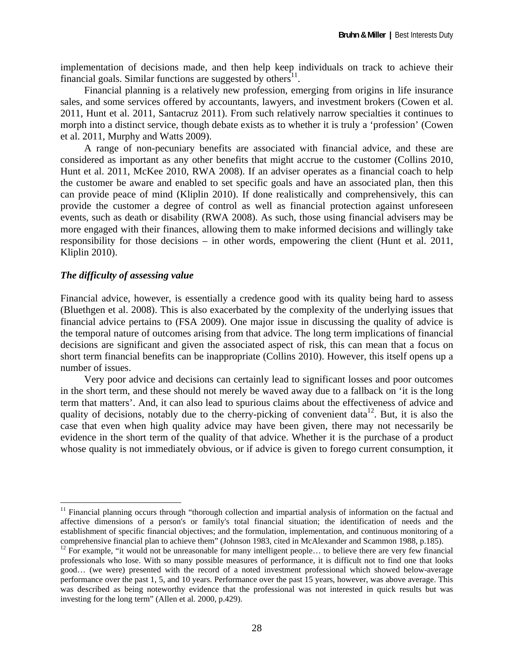implementation of decisions made, and then help keep individuals on track to achieve their financial goals. Similar functions are suggested by others $^{11}$ .

Financial planning is a relatively new profession, emerging from origins in life insurance sales, and some services offered by accountants, lawyers, and investment brokers (Cowen et al. 2011, Hunt et al. 2011, Santacruz 2011). From such relatively narrow specialties it continues to morph into a distinct service, though debate exists as to whether it is truly a 'profession' (Cowen et al. 2011, Murphy and Watts 2009).

A range of non-pecuniary benefits are associated with financial advice, and these are considered as important as any other benefits that might accrue to the customer (Collins 2010, Hunt et al. 2011, McKee 2010, RWA 2008). If an adviser operates as a financial coach to help the customer be aware and enabled to set specific goals and have an associated plan, then this can provide peace of mind (Kliplin 2010). If done realistically and comprehensively, this can provide the customer a degree of control as well as financial protection against unforeseen events, such as death or disability (RWA 2008). As such, those using financial advisers may be more engaged with their finances, allowing them to make informed decisions and willingly take responsibility for those decisions – in other words, empowering the client (Hunt et al. 2011, Kliplin 2010).

#### *The difficulty of assessing value*

 $\overline{a}$ 

Financial advice, however, is essentially a credence good with its quality being hard to assess (Bluethgen et al. 2008). This is also exacerbated by the complexity of the underlying issues that financial advice pertains to (FSA 2009). One major issue in discussing the quality of advice is the temporal nature of outcomes arising from that advice. The long term implications of financial decisions are significant and given the associated aspect of risk, this can mean that a focus on short term financial benefits can be inappropriate (Collins 2010). However, this itself opens up a number of issues.

Very poor advice and decisions can certainly lead to significant losses and poor outcomes in the short term, and these should not merely be waved away due to a fallback on 'it is the long term that matters'. And, it can also lead to spurious claims about the effectiveness of advice and quality of decisions, notably due to the cherry-picking of convenient data<sup>12</sup>. But, it is also the case that even when high quality advice may have been given, there may not necessarily be evidence in the short term of the quality of that advice. Whether it is the purchase of a product whose quality is not immediately obvious, or if advice is given to forego current consumption, it

<sup>&</sup>lt;sup>11</sup> Financial planning occurs through "thorough collection and impartial analysis of information on the factual and affective dimensions of a person's or family's total financial situation; the identification of needs and the establishment of specific financial objectives; and the formulation, implementation, and continuous monitoring of a comprehensive financial plan to achieve them" (Johnson 1983, cited in McAlexander and Scammon 1988, p.185).

 $12$  For example, "it would not be unreasonable for many intelligent people... to believe there are very few financial professionals who lose. With so many possible measures of performance, it is difficult not to find one that looks good… (we were) presented with the record of a noted investment professional which showed below-average performance over the past 1, 5, and 10 years. Performance over the past 15 years, however, was above average. This was described as being noteworthy evidence that the professional was not interested in quick results but was investing for the long term" (Allen et al. 2000, p.429).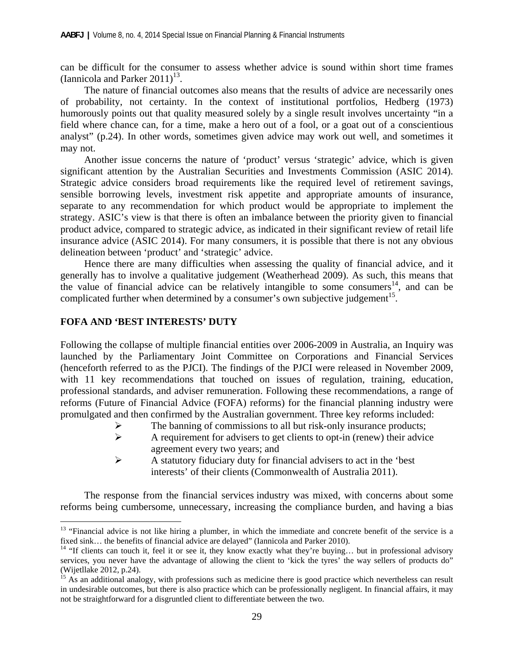can be difficult for the consumer to assess whether advice is sound within short time frames (Iannicola and Parker  $2011$ )<sup>13</sup>.

The nature of financial outcomes also means that the results of advice are necessarily ones of probability, not certainty. In the context of institutional portfolios, Hedberg (1973) humorously points out that quality measured solely by a single result involves uncertainty "in a field where chance can, for a time, make a hero out of a fool, or a goat out of a conscientious analyst" (p.24). In other words, sometimes given advice may work out well, and sometimes it may not.

Another issue concerns the nature of 'product' versus 'strategic' advice, which is given significant attention by the Australian Securities and Investments Commission (ASIC 2014). Strategic advice considers broad requirements like the required level of retirement savings, sensible borrowing levels, investment risk appetite and appropriate amounts of insurance, separate to any recommendation for which product would be appropriate to implement the strategy. ASIC's view is that there is often an imbalance between the priority given to financial product advice, compared to strategic advice, as indicated in their significant review of retail life insurance advice (ASIC 2014). For many consumers, it is possible that there is not any obvious delineation between 'product' and 'strategic' advice.

Hence there are many difficulties when assessing the quality of financial advice, and it generally has to involve a qualitative judgement (Weatherhead 2009). As such, this means that the value of financial advice can be relatively intangible to some consumers<sup>14</sup>, and can be complicated further when determined by a consumer's own subjective judgement<sup>15</sup>.

#### **FOFA AND 'BEST INTERESTS' DUTY**

1

Following the collapse of multiple financial entities over 2006-2009 in Australia, an Inquiry was launched by the Parliamentary Joint Committee on Corporations and Financial Services (henceforth referred to as the PJCI). The findings of the PJCI were released in November 2009, with 11 key recommendations that touched on issues of regulation, training, education, professional standards, and adviser remuneration. Following these recommendations, a range of reforms (Future of Financial Advice (FOFA) reforms) for the financial planning industry were promulgated and then confirmed by the Australian government. Three key reforms included:

- $\triangleright$  The banning of commissions to all but risk-only insurance products;
- $\triangleright$  A requirement for advisers to get clients to opt-in (renew) their advice agreement every two years; and
- $\triangleright$  A statutory fiduciary duty for financial advisers to act in the 'best interests' of their clients (Commonwealth of Australia 2011).

The response from the financial services industry was mixed, with concerns about some reforms being cumbersome, unnecessary, increasing the compliance burden, and having a bias

<sup>&</sup>lt;sup>13</sup> "Financial advice is not like hiring a plumber, in which the immediate and concrete benefit of the service is a fixed sink… the benefits of financial advice are delayed" (Iannicola and Parker 2010).

 $14$  "If clients can touch it, feel it or see it, they know exactly what they're buying... but in professional advisory services, you never have the advantage of allowing the client to 'kick the tyres' the way sellers of products do" (Wijetllake 2012, p.24).

<sup>&</sup>lt;sup>15</sup> As an additional analogy, with professions such as medicine there is good practice which nevertheless can result in undesirable outcomes, but there is also practice which can be professionally negligent. In financial affairs, it may not be straightforward for a disgruntled client to differentiate between the two.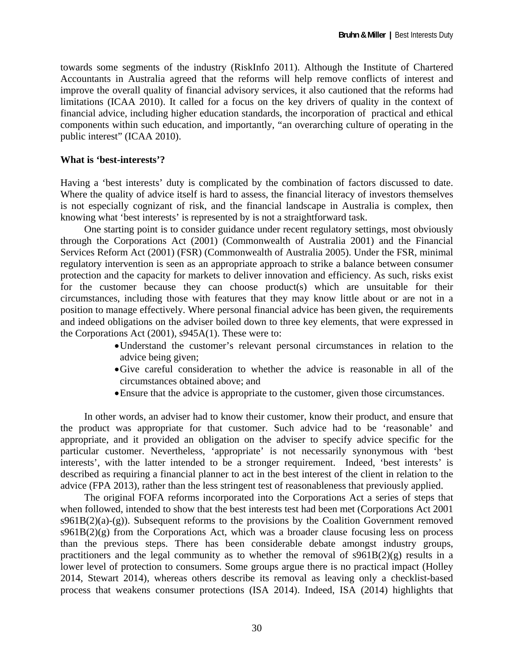towards some segments of the industry (RiskInfo 2011). Although the Institute of Chartered Accountants in Australia agreed that the reforms will help remove conflicts of interest and improve the overall quality of financial advisory services, it also cautioned that the reforms had limitations (ICAA 2010). It called for a focus on the key drivers of quality in the context of financial advice, including higher education standards, the incorporation of practical and ethical components within such education, and importantly, "an overarching culture of operating in the public interest" (ICAA 2010).

#### **What is 'best-interests'?**

Having a 'best interests' duty is complicated by the combination of factors discussed to date. Where the quality of advice itself is hard to assess, the financial literacy of investors themselves is not especially cognizant of risk, and the financial landscape in Australia is complex, then knowing what 'best interests' is represented by is not a straightforward task.

One starting point is to consider guidance under recent regulatory settings, most obviously through the Corporations Act (2001) (Commonwealth of Australia 2001) and the Financial Services Reform Act (2001) (FSR) (Commonwealth of Australia 2005). Under the FSR, minimal regulatory intervention is seen as an appropriate approach to strike a balance between consumer protection and the capacity for markets to deliver innovation and efficiency. As such, risks exist for the customer because they can choose product(s) which are unsuitable for their circumstances, including those with features that they may know little about or are not in a position to manage effectively. Where personal financial advice has been given, the requirements and indeed obligations on the adviser boiled down to three key elements, that were expressed in the Corporations Act (2001), s945A(1). These were to:

- Understand the customer's relevant personal circumstances in relation to the advice being given;
- Give careful consideration to whether the advice is reasonable in all of the circumstances obtained above; and
- Ensure that the advice is appropriate to the customer, given those circumstances.

In other words, an adviser had to know their customer, know their product, and ensure that the product was appropriate for that customer. Such advice had to be 'reasonable' and appropriate, and it provided an obligation on the adviser to specify advice specific for the particular customer. Nevertheless, 'appropriate' is not necessarily synonymous with 'best interests', with the latter intended to be a stronger requirement. Indeed, 'best interests' is described as requiring a financial planner to act in the best interest of the client in relation to the advice (FPA 2013), rather than the less stringent test of reasonableness that previously applied.

The original FOFA reforms incorporated into the Corporations Act a series of steps that when followed, intended to show that the best interests test had been met (Corporations Act 2001  $s961B(2)(a)-(g)$ ). Subsequent reforms to the provisions by the Coalition Government removed  $s961B(2)(g)$  from the Corporations Act, which was a broader clause focusing less on process than the previous steps. There has been considerable debate amongst industry groups, practitioners and the legal community as to whether the removal of  $s961B(2)(g)$  results in a lower level of protection to consumers. Some groups argue there is no practical impact (Holley 2014, Stewart 2014), whereas others describe its removal as leaving only a checklist-based process that weakens consumer protections (ISA 2014). Indeed, ISA (2014) highlights that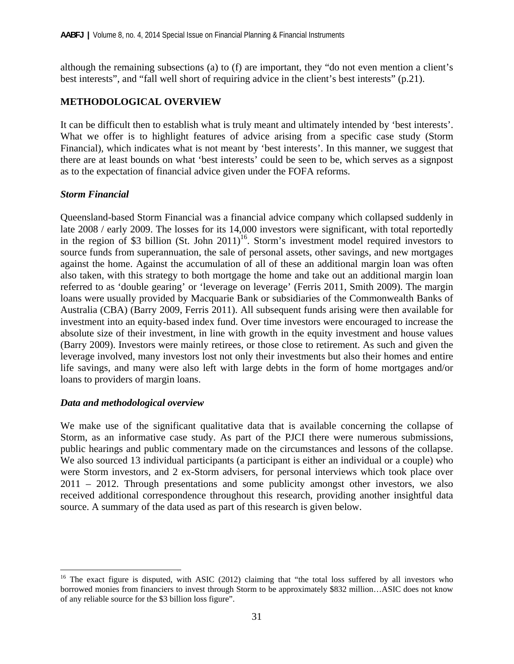although the remaining subsections (a) to (f) are important, they "do not even mention a client's best interests", and "fall well short of requiring advice in the client's best interests" (p.21).

## **METHODOLOGICAL OVERVIEW**

It can be difficult then to establish what is truly meant and ultimately intended by 'best interests'. What we offer is to highlight features of advice arising from a specific case study (Storm Financial), which indicates what is not meant by 'best interests'. In this manner, we suggest that there are at least bounds on what 'best interests' could be seen to be, which serves as a signpost as to the expectation of financial advice given under the FOFA reforms.

#### *Storm Financial*

Queensland-based Storm Financial was a financial advice company which collapsed suddenly in late 2008 / early 2009. The losses for its 14,000 investors were significant, with total reportedly in the region of \$3 billion (St. John 2011)<sup>16</sup>. Storm's investment model required investors to source funds from superannuation, the sale of personal assets, other savings, and new mortgages against the home. Against the accumulation of all of these an additional margin loan was often also taken, with this strategy to both mortgage the home and take out an additional margin loan referred to as 'double gearing' or 'leverage on leverage' (Ferris 2011, Smith 2009). The margin loans were usually provided by Macquarie Bank or subsidiaries of the Commonwealth Banks of Australia (CBA) (Barry 2009, Ferris 2011). All subsequent funds arising were then available for investment into an equity-based index fund. Over time investors were encouraged to increase the absolute size of their investment, in line with growth in the equity investment and house values (Barry 2009). Investors were mainly retirees, or those close to retirement. As such and given the leverage involved, many investors lost not only their investments but also their homes and entire life savings, and many were also left with large debts in the form of home mortgages and/or loans to providers of margin loans.

#### *Data and methodological overview*

 $\overline{a}$ 

We make use of the significant qualitative data that is available concerning the collapse of Storm, as an informative case study. As part of the PJCI there were numerous submissions, public hearings and public commentary made on the circumstances and lessons of the collapse. We also sourced 13 individual participants (a participant is either an individual or a couple) who were Storm investors, and 2 ex-Storm advisers, for personal interviews which took place over 2011 – 2012. Through presentations and some publicity amongst other investors, we also received additional correspondence throughout this research, providing another insightful data source. A summary of the data used as part of this research is given below.

 $16$  The exact figure is disputed, with ASIC (2012) claiming that "the total loss suffered by all investors who borrowed monies from financiers to invest through Storm to be approximately \$832 million…ASIC does not know of any reliable source for the \$3 billion loss figure".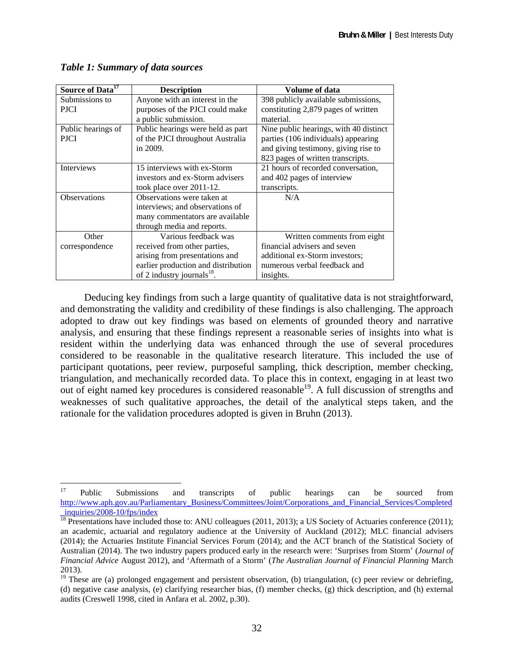| Source of Data <sup>17</sup> | <b>Description</b>                  | Volume of data                         |
|------------------------------|-------------------------------------|----------------------------------------|
| Submissions to               | Anyone with an interest in the      | 398 publicly available submissions,    |
| <b>PJCI</b>                  | purposes of the PJCI could make     | constituting 2,879 pages of written    |
|                              | a public submission.                | material.                              |
| Public hearings of           | Public hearings were held as part   | Nine public hearings, with 40 distinct |
| <b>PJCI</b>                  | of the PJCI throughout Australia    | parties (106 individuals) appearing    |
|                              | in 2009.                            | and giving testimony, giving rise to   |
|                              |                                     | 823 pages of written transcripts.      |
| <b>Interviews</b>            | 15 interviews with ex-Storm         | 21 hours of recorded conversation,     |
|                              | investors and ex-Storm advisers     | and 402 pages of interview             |
|                              | took place over 2011-12.            | transcripts.                           |
| <b>Observations</b>          | Observations were taken at          | N/A                                    |
|                              | interviews; and observations of     |                                        |
|                              | many commentators are available     |                                        |
|                              | through media and reports.          |                                        |
| Other                        | Various feedback was                | Written comments from eight            |
| correspondence               | received from other parties,        | financial advisers and seven           |
|                              | arising from presentations and      | additional ex-Storm investors;         |
|                              | earlier production and distribution | numerous verbal feedback and           |
|                              | of 2 industry journals $^{18}$ .    | insights.                              |

*Table 1: Summary of data sources* 

Deducing key findings from such a large quantity of qualitative data is not straightforward, and demonstrating the validity and credibility of these findings is also challenging. The approach adopted to draw out key findings was based on elements of grounded theory and narrative analysis, and ensuring that these findings represent a reasonable series of insights into what is resident within the underlying data was enhanced through the use of several procedures considered to be reasonable in the qualitative research literature. This included the use of participant quotations, peer review, purposeful sampling, thick description, member checking, triangulation, and mechanically recorded data. To place this in context, engaging in at least two out of eight named key procedures is considered reasonable<sup>19</sup>. A full discussion of strengths and weaknesses of such qualitative approaches, the detail of the analytical steps taken, and the rationale for the validation procedures adopted is given in Bruhn (2013).

 $17$ <sup>17</sup> Public Submissions and transcripts of public hearings can be sourced from http://www.aph.gov.au/Parliamentary\_Business/Committees/Joint/Corporations\_and\_Financial\_Services/Completed \_inquiries/2008-10/fps/index

<sup>&</sup>lt;sup>18</sup> Presentations have included those to: ANU colleagues (2011, 2013); a US Society of Actuaries conference (2011); an academic, actuarial and regulatory audience at the University of Auckland (2012); MLC financial advisers (2014); the Actuaries Institute Financial Services Forum (2014); and the ACT branch of the Statistical Society of Australian (2014). The two industry papers produced early in the research were: 'Surprises from Storm' (*Journal of Financial Advice* August 2012), and 'Aftermath of a Storm' (*The Australian Journal of Financial Planning* March 2013).

<sup>&</sup>lt;sup>19</sup> These are (a) prolonged engagement and persistent observation, (b) triangulation, (c) peer review or debriefing, (d) negative case analysis, (e) clarifying researcher bias, (f) member checks, (g) thick description, and (h) external audits (Creswell 1998, cited in Anfara et al. 2002, p.30).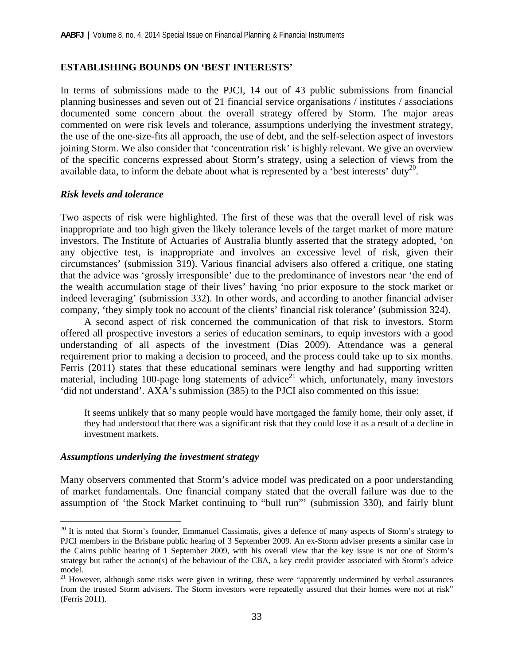#### **ESTABLISHING BOUNDS ON 'BEST INTERESTS'**

In terms of submissions made to the PJCI, 14 out of 43 public submissions from financial planning businesses and seven out of 21 financial service organisations / institutes / associations documented some concern about the overall strategy offered by Storm. The major areas commented on were risk levels and tolerance, assumptions underlying the investment strategy, the use of the one-size-fits all approach, the use of debt, and the self-selection aspect of investors joining Storm. We also consider that 'concentration risk' is highly relevant. We give an overview of the specific concerns expressed about Storm's strategy, using a selection of views from the available data, to inform the debate about what is represented by a 'best interests' duty<sup>20</sup>.

#### *Risk levels and tolerance*

Two aspects of risk were highlighted. The first of these was that the overall level of risk was inappropriate and too high given the likely tolerance levels of the target market of more mature investors. The Institute of Actuaries of Australia bluntly asserted that the strategy adopted, 'on any objective test, is inappropriate and involves an excessive level of risk, given their circumstances' (submission 319). Various financial advisers also offered a critique, one stating that the advice was 'grossly irresponsible' due to the predominance of investors near 'the end of the wealth accumulation stage of their lives' having 'no prior exposure to the stock market or indeed leveraging' (submission 332). In other words, and according to another financial adviser company, 'they simply took no account of the clients' financial risk tolerance' (submission 324).

A second aspect of risk concerned the communication of that risk to investors. Storm offered all prospective investors a series of education seminars, to equip investors with a good understanding of all aspects of the investment (Dias 2009). Attendance was a general requirement prior to making a decision to proceed, and the process could take up to six months. Ferris (2011) states that these educational seminars were lengthy and had supporting written material, including 100-page long statements of advice<sup>21</sup> which, unfortunately, many investors 'did not understand'. AXA's submission (385) to the PJCI also commented on this issue:

It seems unlikely that so many people would have mortgaged the family home, their only asset, if they had understood that there was a significant risk that they could lose it as a result of a decline in investment markets.

#### *Assumptions underlying the investment strategy*

1

Many observers commented that Storm's advice model was predicated on a poor understanding of market fundamentals. One financial company stated that the overall failure was due to the assumption of 'the Stock Market continuing to "bull run"' (submission 330), and fairly blunt

 $20$  It is noted that Storm's founder, Emmanuel Cassimatis, gives a defence of many aspects of Storm's strategy to PJCI members in the Brisbane public hearing of 3 September 2009. An ex-Storm adviser presents a similar case in the Cairns public hearing of 1 September 2009, with his overall view that the key issue is not one of Storm's strategy but rather the action(s) of the behaviour of the CBA, a key credit provider associated with Storm's advice model.

 $21$  However, although some risks were given in writing, these were "apparently undermined by verbal assurances" from the trusted Storm advisers. The Storm investors were repeatedly assured that their homes were not at risk" (Ferris 2011).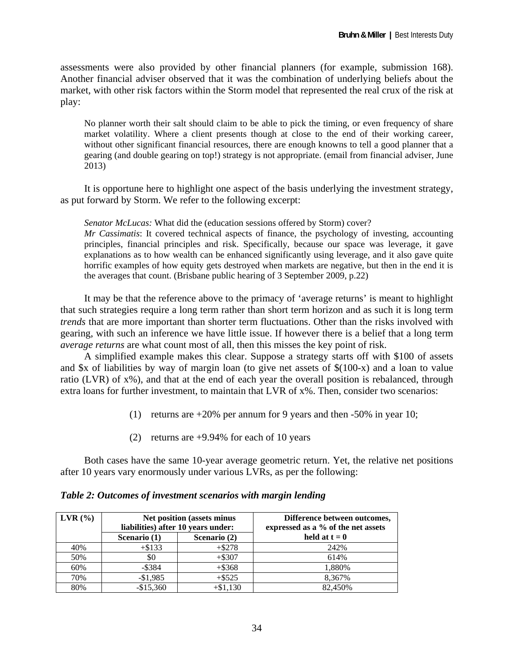assessments were also provided by other financial planners (for example, submission 168). Another financial adviser observed that it was the combination of underlying beliefs about the market, with other risk factors within the Storm model that represented the real crux of the risk at play:

No planner worth their salt should claim to be able to pick the timing, or even frequency of share market volatility. Where a client presents though at close to the end of their working career, without other significant financial resources, there are enough knowns to tell a good planner that a gearing (and double gearing on top!) strategy is not appropriate. (email from financial adviser, June 2013)

It is opportune here to highlight one aspect of the basis underlying the investment strategy, as put forward by Storm. We refer to the following excerpt:

*Senator McLucas:* What did the (education sessions offered by Storm) cover?

*Mr Cassimatis*: It covered technical aspects of finance, the psychology of investing, accounting principles, financial principles and risk. Specifically, because our space was leverage, it gave explanations as to how wealth can be enhanced significantly using leverage, and it also gave quite horrific examples of how equity gets destroyed when markets are negative, but then in the end it is the averages that count. (Brisbane public hearing of 3 September 2009, p.22)

It may be that the reference above to the primacy of 'average returns' is meant to highlight that such strategies require a long term rather than short term horizon and as such it is long term *trends* that are more important than shorter term fluctuations. Other than the risks involved with gearing, with such an inference we have little issue. If however there is a belief that a long term *average returns* are what count most of all, then this misses the key point of risk.

A simplified example makes this clear. Suppose a strategy starts off with \$100 of assets and \$x of liabilities by way of margin loan (to give net assets of \$(100-x) and a loan to value ratio (LVR) of x%), and that at the end of each year the overall position is rebalanced, through extra loans for further investment, to maintain that LVR of x%. Then, consider two scenarios:

- (1) returns are +20% per annum for 9 years and then -50% in year 10;
- (2) returns are +9.94% for each of 10 years

Both cases have the same 10-year average geometric return. Yet, the relative net positions after 10 years vary enormously under various LVRs, as per the following:

| $LVR$ (%) | <b>Net position (assets minus</b><br>liabilities) after 10 years under: |              | Difference between outcomes,<br>expressed as a % of the net assets |
|-----------|-------------------------------------------------------------------------|--------------|--------------------------------------------------------------------|
|           | Scenario (1)                                                            | Scenario (2) | held at $t = 0$                                                    |
| 40%       | $+ $133$                                                                | $+ $278$     | 242%                                                               |
| 50%       | \$0                                                                     | $+ $307$     | 614%                                                               |
| 60%       | $-$ \$384                                                               | $+ $368$     | 1,880%                                                             |
| 70%       | $-$1,985$                                                               | $+$ \$525    | 8,367%                                                             |
| 80%       | $-$15,360$                                                              | $+ $1,130$   | 82,450%                                                            |

#### *Table 2: Outcomes of investment scenarios with margin lending*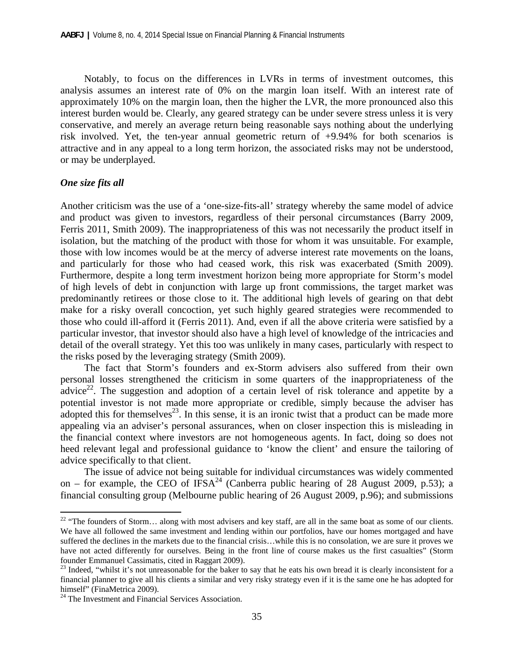Notably, to focus on the differences in LVRs in terms of investment outcomes, this analysis assumes an interest rate of 0% on the margin loan itself. With an interest rate of approximately 10% on the margin loan, then the higher the LVR, the more pronounced also this interest burden would be. Clearly, any geared strategy can be under severe stress unless it is very conservative, and merely an average return being reasonable says nothing about the underlying risk involved. Yet, the ten-year annual geometric return of +9.94% for both scenarios is attractive and in any appeal to a long term horizon, the associated risks may not be understood, or may be underplayed.

#### *One size fits all*

 $\overline{a}$ 

Another criticism was the use of a 'one-size-fits-all' strategy whereby the same model of advice and product was given to investors, regardless of their personal circumstances (Barry 2009, Ferris 2011, Smith 2009). The inappropriateness of this was not necessarily the product itself in isolation, but the matching of the product with those for whom it was unsuitable. For example, those with low incomes would be at the mercy of adverse interest rate movements on the loans, and particularly for those who had ceased work, this risk was exacerbated (Smith 2009). Furthermore, despite a long term investment horizon being more appropriate for Storm's model of high levels of debt in conjunction with large up front commissions, the target market was predominantly retirees or those close to it. The additional high levels of gearing on that debt make for a risky overall concoction, yet such highly geared strategies were recommended to those who could ill-afford it (Ferris 2011). And, even if all the above criteria were satisfied by a particular investor, that investor should also have a high level of knowledge of the intricacies and detail of the overall strategy. Yet this too was unlikely in many cases, particularly with respect to the risks posed by the leveraging strategy (Smith 2009).

The fact that Storm's founders and ex-Storm advisers also suffered from their own personal losses strengthened the criticism in some quarters of the inappropriateness of the advice<sup>22</sup>. The suggestion and adoption of a certain level of risk tolerance and appetite by a potential investor is not made more appropriate or credible, simply because the adviser has adopted this for themselves<sup>23</sup>. In this sense, it is an ironic twist that a product can be made more appealing via an adviser's personal assurances, when on closer inspection this is misleading in the financial context where investors are not homogeneous agents. In fact, doing so does not heed relevant legal and professional guidance to 'know the client' and ensure the tailoring of advice specifically to that client.

The issue of advice not being suitable for individual circumstances was widely commented on – for example, the CEO of IFSA<sup>24</sup> (Canberra public hearing of 28 August 2009, p.53); a financial consulting group (Melbourne public hearing of 26 August 2009, p.96); and submissions

<sup>&</sup>lt;sup>22</sup> "The founders of Storm... along with most advisers and key staff, are all in the same boat as some of our clients. We have all followed the same investment and lending within our portfolios, have our homes mortgaged and have suffered the declines in the markets due to the financial crisis…while this is no consolation, we are sure it proves we have not acted differently for ourselves. Being in the front line of course makes us the first casualties" (Storm founder Emmanuel Cassimatis, cited in Raggart 2009).

 $23$  Indeed, "whilst it's not unreasonable for the baker to say that he eats his own bread it is clearly inconsistent for a financial planner to give all his clients a similar and very risky strategy even if it is the same one he has adopted for himself" (FinaMetrica 2009).

<sup>&</sup>lt;sup>24</sup> The Investment and Financial Services Association.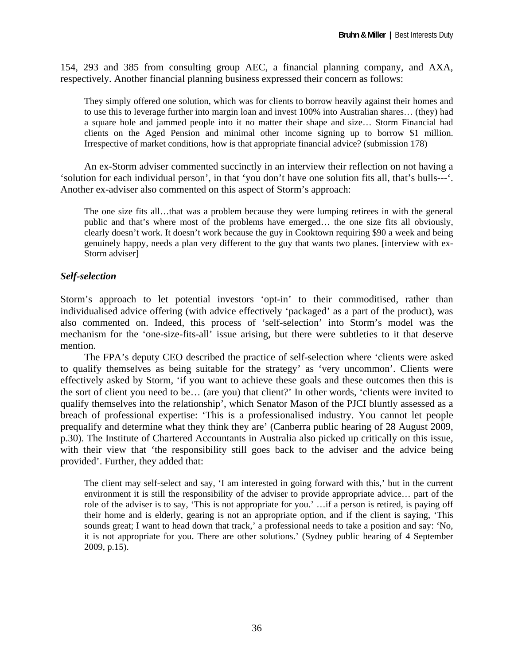154, 293 and 385 from consulting group AEC, a financial planning company, and AXA, respectively. Another financial planning business expressed their concern as follows:

They simply offered one solution, which was for clients to borrow heavily against their homes and to use this to leverage further into margin loan and invest 100% into Australian shares… (they) had a square hole and jammed people into it no matter their shape and size… Storm Financial had clients on the Aged Pension and minimal other income signing up to borrow \$1 million. Irrespective of market conditions, how is that appropriate financial advice? (submission 178)

An ex-Storm adviser commented succinctly in an interview their reflection on not having a 'solution for each individual person', in that 'you don't have one solution fits all, that's bulls---'. Another ex-adviser also commented on this aspect of Storm's approach:

The one size fits all…that was a problem because they were lumping retirees in with the general public and that's where most of the problems have emerged… the one size fits all obviously, clearly doesn't work. It doesn't work because the guy in Cooktown requiring \$90 a week and being genuinely happy, needs a plan very different to the guy that wants two planes. [interview with ex-Storm adviser]

#### *Self-selection*

Storm's approach to let potential investors 'opt-in' to their commoditised, rather than individualised advice offering (with advice effectively 'packaged' as a part of the product), was also commented on. Indeed, this process of 'self-selection' into Storm's model was the mechanism for the 'one-size-fits-all' issue arising, but there were subtleties to it that deserve mention.

The FPA's deputy CEO described the practice of self-selection where 'clients were asked to qualify themselves as being suitable for the strategy' as 'very uncommon'. Clients were effectively asked by Storm, 'if you want to achieve these goals and these outcomes then this is the sort of client you need to be… (are you) that client?' In other words, 'clients were invited to qualify themselves into the relationship', which Senator Mason of the PJCI bluntly assessed as a breach of professional expertise: 'This is a professionalised industry. You cannot let people prequalify and determine what they think they are' (Canberra public hearing of 28 August 2009, p.30). The Institute of Chartered Accountants in Australia also picked up critically on this issue, with their view that 'the responsibility still goes back to the adviser and the advice being provided'. Further, they added that:

The client may self-select and say, 'I am interested in going forward with this,' but in the current environment it is still the responsibility of the adviser to provide appropriate advice… part of the role of the adviser is to say, 'This is not appropriate for you.' …if a person is retired, is paying off their home and is elderly, gearing is not an appropriate option, and if the client is saying, 'This sounds great; I want to head down that track,' a professional needs to take a position and say: 'No, it is not appropriate for you. There are other solutions.' (Sydney public hearing of 4 September 2009, p.15).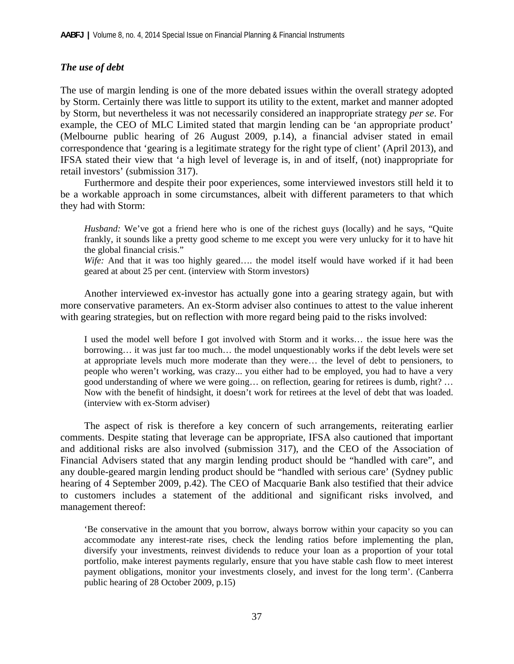## *The use of debt*

The use of margin lending is one of the more debated issues within the overall strategy adopted by Storm. Certainly there was little to support its utility to the extent, market and manner adopted by Storm, but nevertheless it was not necessarily considered an inappropriate strategy *per se*. For example, the CEO of MLC Limited stated that margin lending can be 'an appropriate product' (Melbourne public hearing of 26 August 2009, p.14), a financial adviser stated in email correspondence that 'gearing is a legitimate strategy for the right type of client' (April 2013), and IFSA stated their view that 'a high level of leverage is, in and of itself, (not) inappropriate for retail investors' (submission 317).

Furthermore and despite their poor experiences, some interviewed investors still held it to be a workable approach in some circumstances, albeit with different parameters to that which they had with Storm:

*Husband:* We've got a friend here who is one of the richest guys (locally) and he says, "Quite frankly, it sounds like a pretty good scheme to me except you were very unlucky for it to have hit the global financial crisis."

*Wife:* And that it was too highly geared…. the model itself would have worked if it had been geared at about 25 per cent. (interview with Storm investors)

Another interviewed ex-investor has actually gone into a gearing strategy again, but with more conservative parameters. An ex-Storm adviser also continues to attest to the value inherent with gearing strategies, but on reflection with more regard being paid to the risks involved:

I used the model well before I got involved with Storm and it works… the issue here was the borrowing… it was just far too much… the model unquestionably works if the debt levels were set at appropriate levels much more moderate than they were… the level of debt to pensioners, to people who weren't working, was crazy... you either had to be employed, you had to have a very good understanding of where we were going… on reflection, gearing for retirees is dumb, right? … Now with the benefit of hindsight, it doesn't work for retirees at the level of debt that was loaded. (interview with ex-Storm adviser)

The aspect of risk is therefore a key concern of such arrangements, reiterating earlier comments. Despite stating that leverage can be appropriate, IFSA also cautioned that important and additional risks are also involved (submission 317), and the CEO of the Association of Financial Advisers stated that any margin lending product should be "handled with care", and any double-geared margin lending product should be "handled with serious care' (Sydney public hearing of 4 September 2009, p.42). The CEO of Macquarie Bank also testified that their advice to customers includes a statement of the additional and significant risks involved, and management thereof:

'Be conservative in the amount that you borrow, always borrow within your capacity so you can accommodate any interest-rate rises, check the lending ratios before implementing the plan, diversify your investments, reinvest dividends to reduce your loan as a proportion of your total portfolio, make interest payments regularly, ensure that you have stable cash flow to meet interest payment obligations, monitor your investments closely, and invest for the long term'. (Canberra public hearing of 28 October 2009, p.15)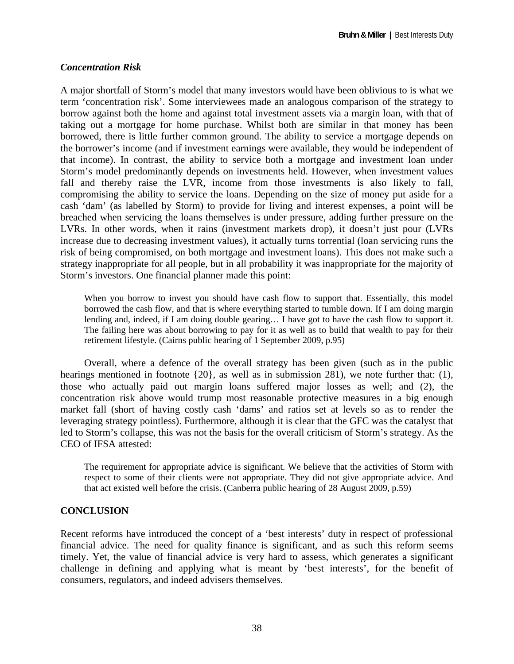## *Concentration Risk*

A major shortfall of Storm's model that many investors would have been oblivious to is what we term 'concentration risk'. Some interviewees made an analogous comparison of the strategy to borrow against both the home and against total investment assets via a margin loan, with that of taking out a mortgage for home purchase. Whilst both are similar in that money has been borrowed, there is little further common ground. The ability to service a mortgage depends on the borrower's income (and if investment earnings were available, they would be independent of that income). In contrast, the ability to service both a mortgage and investment loan under Storm's model predominantly depends on investments held. However, when investment values fall and thereby raise the LVR, income from those investments is also likely to fall, compromising the ability to service the loans. Depending on the size of money put aside for a cash 'dam' (as labelled by Storm) to provide for living and interest expenses, a point will be breached when servicing the loans themselves is under pressure, adding further pressure on the LVRs. In other words, when it rains (investment markets drop), it doesn't just pour (LVRs increase due to decreasing investment values), it actually turns torrential (loan servicing runs the risk of being compromised, on both mortgage and investment loans). This does not make such a strategy inappropriate for all people, but in all probability it was inappropriate for the majority of Storm's investors. One financial planner made this point:

When you borrow to invest you should have cash flow to support that. Essentially, this model borrowed the cash flow, and that is where everything started to tumble down. If I am doing margin lending and, indeed, if I am doing double gearing… I have got to have the cash flow to support it. The failing here was about borrowing to pay for it as well as to build that wealth to pay for their retirement lifestyle. (Cairns public hearing of 1 September 2009, p.95)

Overall, where a defence of the overall strategy has been given (such as in the public hearings mentioned in footnote {20}, as well as in submission 281), we note further that: (1), those who actually paid out margin loans suffered major losses as well; and (2), the concentration risk above would trump most reasonable protective measures in a big enough market fall (short of having costly cash 'dams' and ratios set at levels so as to render the leveraging strategy pointless). Furthermore, although it is clear that the GFC was the catalyst that led to Storm's collapse, this was not the basis for the overall criticism of Storm's strategy. As the CEO of IFSA attested:

The requirement for appropriate advice is significant. We believe that the activities of Storm with respect to some of their clients were not appropriate. They did not give appropriate advice. And that act existed well before the crisis. (Canberra public hearing of 28 August 2009, p.59)

## **CONCLUSION**

Recent reforms have introduced the concept of a 'best interests' duty in respect of professional financial advice. The need for quality finance is significant, and as such this reform seems timely. Yet, the value of financial advice is very hard to assess, which generates a significant challenge in defining and applying what is meant by 'best interests', for the benefit of consumers, regulators, and indeed advisers themselves.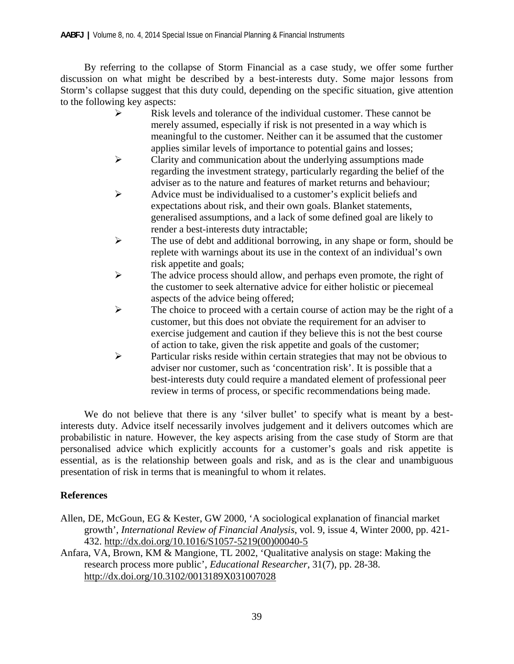By referring to the collapse of Storm Financial as a case study, we offer some further discussion on what might be described by a best-interests duty. Some major lessons from Storm's collapse suggest that this duty could, depending on the specific situation, give attention to the following key aspects:

- $\triangleright$  Risk levels and tolerance of the individual customer. These cannot be merely assumed, especially if risk is not presented in a way which is meaningful to the customer. Neither can it be assumed that the customer applies similar levels of importance to potential gains and losses;
- $\triangleright$  Clarity and communication about the underlying assumptions made regarding the investment strategy, particularly regarding the belief of the adviser as to the nature and features of market returns and behaviour;
- Advice must be individualised to a customer's explicit beliefs and expectations about risk, and their own goals. Blanket statements, generalised assumptions, and a lack of some defined goal are likely to render a best-interests duty intractable;
- $\triangleright$  The use of debt and additional borrowing, in any shape or form, should be replete with warnings about its use in the context of an individual's own risk appetite and goals;
- $\triangleright$  The advice process should allow, and perhaps even promote, the right of the customer to seek alternative advice for either holistic or piecemeal aspects of the advice being offered;
- $\triangleright$  The choice to proceed with a certain course of action may be the right of a customer, but this does not obviate the requirement for an adviser to exercise judgement and caution if they believe this is not the best course of action to take, given the risk appetite and goals of the customer;
- $\triangleright$  Particular risks reside within certain strategies that may not be obvious to adviser nor customer, such as 'concentration risk'. It is possible that a best-interests duty could require a mandated element of professional peer review in terms of process, or specific recommendations being made.

We do not believe that there is any 'silver bullet' to specify what is meant by a bestinterests duty. Advice itself necessarily involves judgement and it delivers outcomes which are probabilistic in nature. However, the key aspects arising from the case study of Storm are that personalised advice which explicitly accounts for a customer's goals and risk appetite is essential, as is the relationship between goals and risk, and as is the clear and unambiguous presentation of risk in terms that is meaningful to whom it relates.

## **References**

- Allen, DE, McGoun, EG & Kester, GW 2000, 'A sociological explanation of financial market growth', *International Review of Financial Analysis*, vol. 9, issue 4, Winter 2000, pp. 421- 432. http://dx.doi.org/10.1016/S1057-5219(00)00040-5
- Anfara, VA, Brown, KM & Mangione, TL 2002, 'Qualitative analysis on stage: Making the research process more public', *Educational Researcher*, 31(7), pp. 28-38. http://dx.doi.org/10.3102/0013189X031007028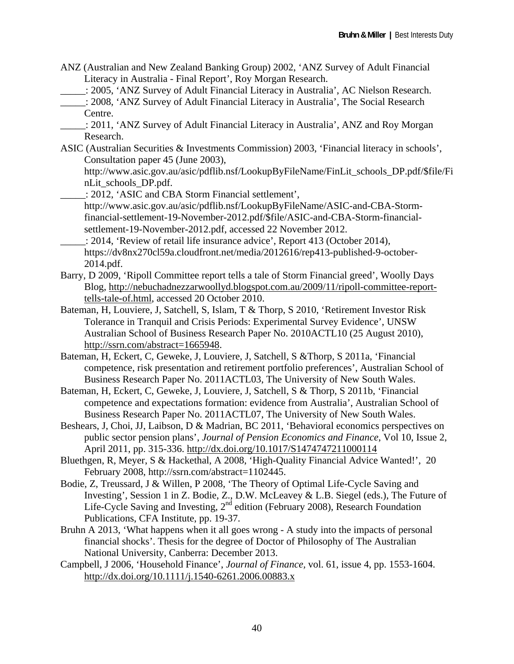- ANZ (Australian and New Zealand Banking Group) 2002, 'ANZ Survey of Adult Financial Literacy in Australia - Final Report', Roy Morgan Research.
- \_\_\_\_\_: 2005, 'ANZ Survey of Adult Financial Literacy in Australia', AC Nielson Research.
	- \_\_\_\_\_: 2008, 'ANZ Survey of Adult Financial Literacy in Australia', The Social Research Centre.
- \_\_\_\_\_: 2011, 'ANZ Survey of Adult Financial Literacy in Australia', ANZ and Roy Morgan Research.
- ASIC (Australian Securities & Investments Commission) 2003, 'Financial literacy in schools', Consultation paper 45 (June 2003),

http://www.asic.gov.au/asic/pdflib.nsf/LookupByFileName/FinLit\_schools\_DP.pdf/\$file/Fi nLit\_schools\_DP.pdf.

\_\_\_\_\_: 2012, 'ASIC and CBA Storm Financial settlement',

http://www.asic.gov.au/asic/pdflib.nsf/LookupByFileName/ASIC-and-CBA-Stormfinancial-settlement-19-November-2012.pdf/\$file/ASIC-and-CBA-Storm-financialsettlement-19-November-2012.pdf, accessed 22 November 2012.

\_\_\_\_\_: 2014, 'Review of retail life insurance advice', Report 413 (October 2014), https://dv8nx270cl59a.cloudfront.net/media/2012616/rep413-published-9-october-2014.pdf.

- Barry, D 2009, 'Ripoll Committee report tells a tale of Storm Financial greed', Woolly Days Blog, http://nebuchadnezzarwoollyd.blogspot.com.au/2009/11/ripoll-committee-reporttells-tale-of.html, accessed 20 October 2010.
- Bateman, H, Louviere, J, Satchell, S, Islam, T & Thorp, S 2010, 'Retirement Investor Risk Tolerance in Tranquil and Crisis Periods: Experimental Survey Evidence', UNSW Australian School of Business Research Paper No. 2010ACTL10 (25 August 2010), http://ssrn.com/abstract=1665948.
- Bateman, H, Eckert, C, Geweke, J, Louviere, J, Satchell, S &Thorp, S 2011a, 'Financial competence, risk presentation and retirement portfolio preferences', Australian School of Business Research Paper No. 2011ACTL03, The University of New South Wales.
- Bateman, H, Eckert, C, Geweke, J, Louviere, J, Satchell, S & Thorp, S 2011b, 'Financial competence and expectations formation: evidence from Australia', Australian School of Business Research Paper No. 2011ACTL07, The University of New South Wales.
- Beshears, J, Choi, JJ, Laibson, D & Madrian, BC 2011, 'Behavioral economics perspectives on public sector pension plans', *Journal of Pension Economics and Finance*, Vol 10, Issue 2, April 2011, pp. 315-336. http://dx.doi.org/10.1017/S1474747211000114
- Bluethgen, R, Meyer, S & Hackethal, A 2008, 'High-Quality Financial Advice Wanted!', 20 February 2008, http://ssrn.com/abstract=1102445.
- Bodie, Z, Treussard, J & Willen, P 2008, 'The Theory of Optimal Life-Cycle Saving and Investing', Session 1 in Z. Bodie, Z., D.W. McLeavey & L.B. Siegel (eds.), The Future of Life-Cycle Saving and Investing,  $2<sup>nd</sup>$  edition (February 2008), Research Foundation Publications, CFA Institute, pp. 19-37.
- Bruhn A 2013, 'What happens when it all goes wrong A study into the impacts of personal financial shocks'. Thesis for the degree of Doctor of Philosophy of The Australian National University, Canberra: December 2013.
- Campbell, J 2006, 'Household Finance', *Journal of Finance,* vol. 61, issue 4, pp. 1553-1604. http://dx.doi.org/10.1111/j.1540-6261.2006.00883.x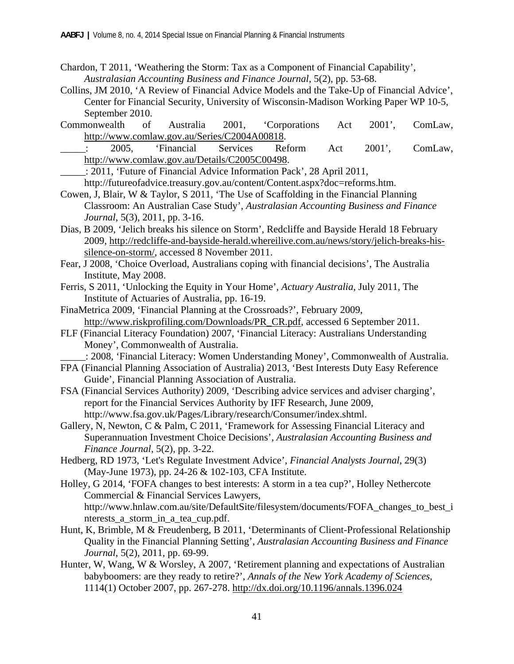- Chardon, T 2011, 'Weathering the Storm: Tax as a Component of Financial Capability', *Australasian Accounting Business and Finance Journal*, 5(2), pp. 53-68.
- Collins, JM 2010, 'A Review of Financial Advice Models and the Take-Up of Financial Advice', Center for Financial Security, University of Wisconsin-Madison Working Paper WP 10-5, September 2010.
- Commonwealth of Australia 2001, 'Corporations Act 2001', ComLaw, http://www.comlaw.gov.au/Series/C2004A00818.

\_\_\_\_\_: 2005, 'Financial Services Reform Act 2001', ComLaw, http://www.comlaw.gov.au/Details/C2005C00498.

\_\_\_\_\_: 2011, 'Future of Financial Advice Information Pack', 28 April 2011,

http://futureofadvice.treasury.gov.au/content/Content.aspx?doc=reforms.htm.

- Cowen, J, Blair, W & Taylor, S 2011, 'The Use of Scaffolding in the Financial Planning Classroom: An Australian Case Study', *Australasian Accounting Business and Finance Journal*, 5(3), 2011, pp. 3-16.
- Dias, B 2009, 'Jelich breaks his silence on Storm', Redcliffe and Bayside Herald 18 February 2009, http://redcliffe-and-bayside-herald.whereilive.com.au/news/story/jelich-breaks-hissilence-on-storm/, accessed 8 November 2011.
- Fear, J 2008, 'Choice Overload, Australians coping with financial decisions', The Australia Institute, May 2008.
- Ferris, S 2011, 'Unlocking the Equity in Your Home', *Actuary Australia*, July 2011, The Institute of Actuaries of Australia, pp. 16-19.
- FinaMetrica 2009, 'Financial Planning at the Crossroads?', February 2009, http://www.riskprofiling.com/Downloads/PR\_CR.pdf, accessed 6 September 2011.
- FLF (Financial Literacy Foundation) 2007, 'Financial Literacy: Australians Understanding Money', Commonwealth of Australia.

\_\_\_\_\_: 2008, 'Financial Literacy: Women Understanding Money', Commonwealth of Australia.

- FPA (Financial Planning Association of Australia) 2013, 'Best Interests Duty Easy Reference Guide', Financial Planning Association of Australia.
- FSA (Financial Services Authority) 2009, 'Describing advice services and adviser charging', report for the Financial Services Authority by IFF Research, June 2009, http://www.fsa.gov.uk/Pages/Library/research/Consumer/index.shtml.
- Gallery, N, Newton, C & Palm, C 2011, 'Framework for Assessing Financial Literacy and Superannuation Investment Choice Decisions', *Australasian Accounting Business and Finance Journal*, 5(2), pp. 3-22.
- Hedberg, RD 1973, 'Let's Regulate Investment Advice', *Financial Analysts Journal*, 29(3) (May-June 1973), pp. 24-26 & 102-103, CFA Institute.
- Holley, G 2014, 'FOFA changes to best interests: A storm in a tea cup?', Holley Nethercote Commercial & Financial Services Lawyers, http://www.hnlaw.com.au/site/DefaultSite/filesystem/documents/FOFA\_changes\_to\_best\_i nterests\_a\_storm\_in\_a\_tea\_cup.pdf.
- Hunt, K, Brimble, M & Freudenberg, B 2011, 'Determinants of Client-Professional Relationship Quality in the Financial Planning Setting', *Australasian Accounting Business and Finance Journal*, 5(2), 2011, pp. 69-99.
- Hunter, W, Wang, W & Worsley, A 2007, 'Retirement planning and expectations of Australian babyboomers: are they ready to retire?', *Annals of the New York Academy of Sciences*, 1114(1) October 2007, pp. 267-278. http://dx.doi.org/10.1196/annals.1396.024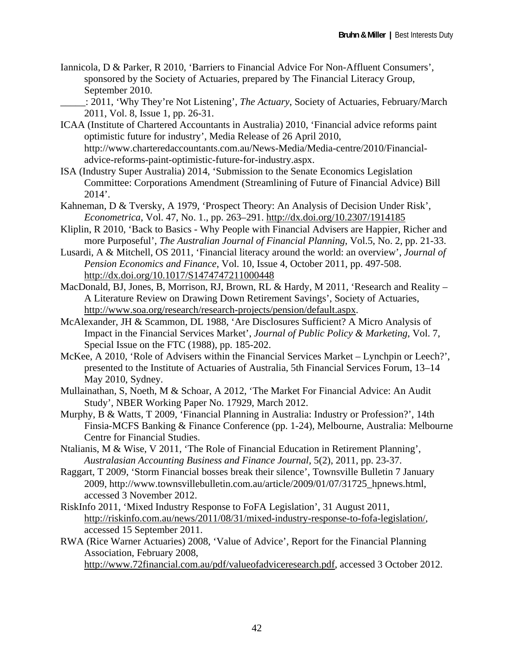Iannicola, D & Parker, R 2010, 'Barriers to Financial Advice For Non-Affluent Consumers', sponsored by the Society of Actuaries, prepared by The Financial Literacy Group, September 2010.

\_\_\_\_\_: 2011, 'Why They're Not Listening', *The Actuary*, Society of Actuaries, February/March 2011, Vol. 8, Issue 1, pp. 26-31.

- ICAA (Institute of Chartered Accountants in Australia) 2010, 'Financial advice reforms paint optimistic future for industry', Media Release of 26 April 2010, http://www.charteredaccountants.com.au/News-Media/Media-centre/2010/Financialadvice-reforms-paint-optimistic-future-for-industry.aspx.
- ISA (Industry Super Australia) 2014, 'Submission to the Senate Economics Legislation Committee: Corporations Amendment (Streamlining of Future of Financial Advice) Bill 2014'.
- Kahneman, D & Tversky, A 1979, 'Prospect Theory: An Analysis of Decision Under Risk', *Econometrica*, Vol. 47, No. 1., pp. 263–291. http://dx.doi.org/10.2307/1914185
- Kliplin, R 2010, 'Back to Basics Why People with Financial Advisers are Happier, Richer and more Purposeful', *The Australian Journal of Financial Planning*, Vol.5, No. 2, pp. 21-33.
- Lusardi, A & Mitchell, OS 2011, 'Financial literacy around the world: an overview', *Journal of Pension Economics and Finance*, Vol. 10, Issue 4, October 2011, pp. 497-508. http://dx.doi.org/10.1017/S1474747211000448
- MacDonald, BJ, Jones, B, Morrison, RJ, Brown, RL & Hardy, M 2011, 'Research and Reality A Literature Review on Drawing Down Retirement Savings', Society of Actuaries, http://www.soa.org/research/research-projects/pension/default.aspx.
- McAlexander, JH & Scammon, DL 1988, 'Are Disclosures Sufficient? A Micro Analysis of Impact in the Financial Services Market', *Journal of Public Policy & Marketing*, Vol. 7, Special Issue on the FTC (1988), pp. 185-202.
- McKee, A 2010, 'Role of Advisers within the Financial Services Market Lynchpin or Leech?', presented to the Institute of Actuaries of Australia, 5th Financial Services Forum, 13–14 May 2010, Sydney.
- Mullainathan, S, Noeth, M & Schoar, A 2012, 'The Market For Financial Advice: An Audit Study', NBER Working Paper No. 17929, March 2012.
- Murphy, B & Watts, T 2009, 'Financial Planning in Australia: Industry or Profession?', 14th Finsia-MCFS Banking & Finance Conference (pp. 1-24), Melbourne, Australia: Melbourne Centre for Financial Studies.
- Ntalianis, M & Wise, V 2011, 'The Role of Financial Education in Retirement Planning', *Australasian Accounting Business and Finance Journal*, 5(2), 2011, pp. 23-37.
- Raggart, T 2009, 'Storm Financial bosses break their silence', Townsville Bulletin 7 January 2009, http://www.townsvillebulletin.com.au/article/2009/01/07/31725\_hpnews.html, accessed 3 November 2012.
- RiskInfo 2011, 'Mixed Industry Response to FoFA Legislation', 31 August 2011, http://riskinfo.com.au/news/2011/08/31/mixed-industry-response-to-fofa-legislation/, accessed 15 September 2011.
- RWA (Rice Warner Actuaries) 2008, 'Value of Advice', Report for the Financial Planning Association, February 2008,

http://www.72financial.com.au/pdf/valueofadviceresearch.pdf, accessed 3 October 2012.